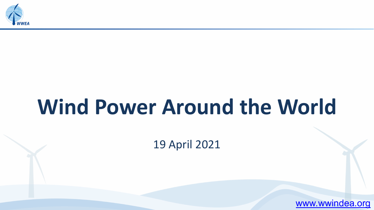

# **Wind Power Around the World**

19 April 2021

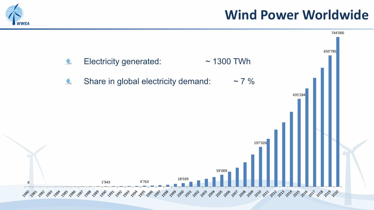

## **Wind Power Worldwide**

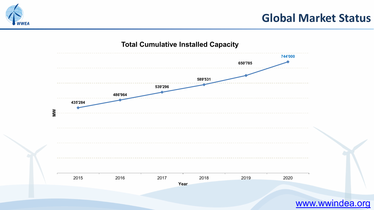

### **Global Market Status**

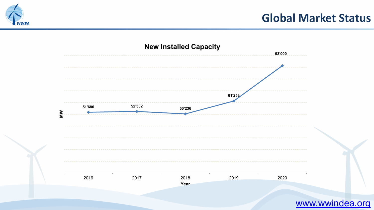

### **Global Market Status**

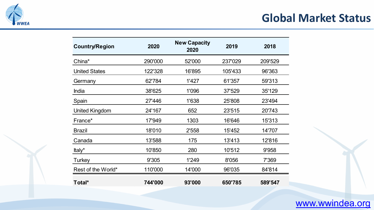

### **Global Market Status**

| <b>Country/Region</b> | 2020    | <b>New Capacity</b><br>2020 | 2019    | 2018    |
|-----------------------|---------|-----------------------------|---------|---------|
| China*                | 290'000 | 52'000                      | 237'029 | 209'529 |
| <b>United States</b>  | 122'328 | 16'895                      | 105'433 | 96'363  |
| Germany               | 62'784  | 1'427                       | 61'357  | 59'313  |
| India                 | 38'625  | 1'096                       | 37'529  | 35'129  |
| Spain                 | 27'446  | 1'638                       | 25'808  | 23'494  |
| <b>United Kingdom</b> | 24'167  | 652                         | 23'515  | 20'743  |
| France*               | 17'949  | 1303                        | 16'646  | 15'313  |
| <b>Brazil</b>         | 18'010  | 2'558                       | 15'452  | 14'707  |
| Canada                | 13'588  | 175                         | 13'413  | 12'816  |
| Italy*                | 10'850  | 280                         | 10'512  | 9'958   |
| Turkey                | 9'305   | 1'249                       | 8'056   | 7'369   |
| Rest of the World*    | 110'000 | 14'000                      | 96'035  | 84'814  |
| Total*                | 744'000 | 93'000                      | 650'785 | 589'547 |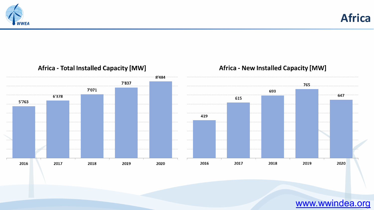

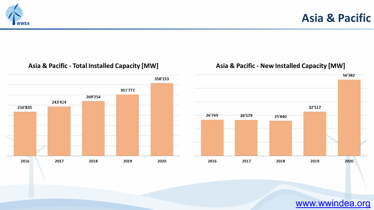



#### Asia & Pacific - Total Installed Capacity [MW]

#### Asia & Pacific - New Installed Capacity [MW]

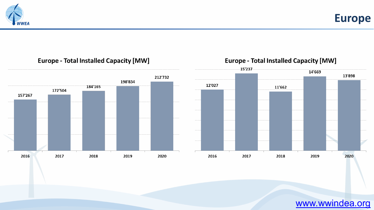

**Europe**

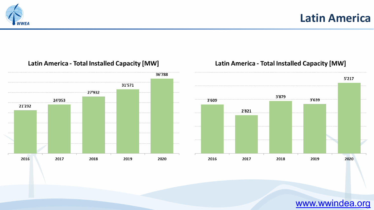



#### **Latin America - Total Installed Capacity [MW]**

#### **Latin America - Total Installed Capacity [MW]**

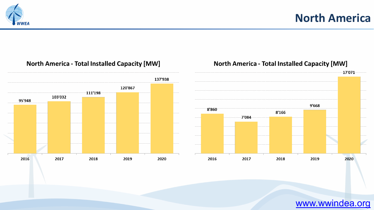### **North America**





**North America - Total Installed Capacity [MW]** 

#### **North America - Total Installed Capacity [MW]**

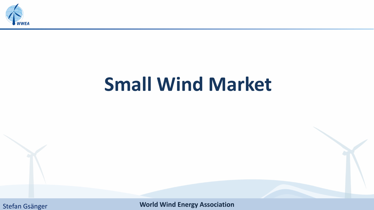

# **Small Wind Market**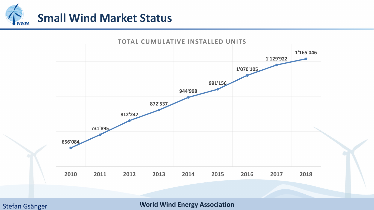

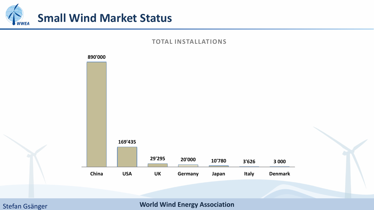

#### **TOTAL INSTALLATIONS**

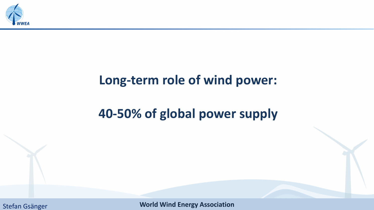

## **Long-term role of wind power:**

# **40-50% of global power supply**